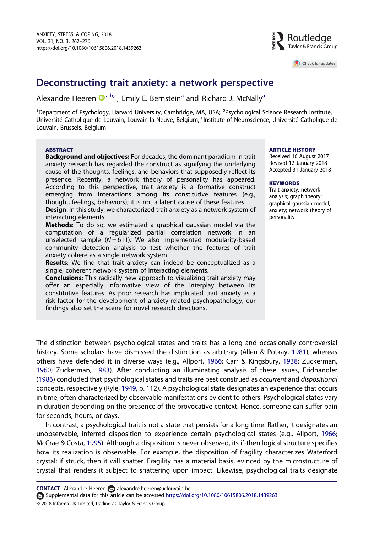

Check for updates

# <span id="page-0-0"></span>Deconstructing trait anxiety: a network perspective

Alexandre Heeren  $\bullet$ <sup>a,b,c</sup>, Emily E. Bernstein<sup>a</sup> and Richard J. McNally<sup>a</sup>

<sup>a</sup>Department of Psychology, Harvard University, Cambridge, MA, USA; <sup>b</sup>Psychological Science Research Institute, Université Catholique de Louvain, Louvain-la-Neuve, Belgium; <sup>c</sup>Institute of Neuroscience, Université Catholique de Louvain, Brussels, Belgium

#### ABSTRACT

Background and objectives: For decades, the dominant paradigm in trait anxiety research has regarded the construct as signifying the underlying cause of the thoughts, feelings, and behaviors that supposedly reflect its presence. Recently, a network theory of personality has appeared. According to this perspective, trait anxiety is a formative construct emerging from interactions among its constitutive features (e.g., thought, feelings, behaviors); it is not a latent cause of these features.

**Design:** In this study, we characterized trait anxiety as a network system of interacting elements.

Methods: To do so, we estimated a graphical gaussian model via the computation of a regularized partial correlation network in an unselected sample ( $N = 611$ ). We also implemented modularity-based community detection analysis to test whether the features of trait anxiety cohere as a single network system.

Results: We find that trait anxiety can indeed be conceptualized as a single, coherent network system of interacting elements.

Conclusions: This radically new approach to visualizing trait anxiety may offer an especially informative view of the interplay between its constitutive features. As prior research has implicated trait anxiety as a risk factor for the development of anxiety-related psychopathology, our findings also set the scene for novel research directions.

#### ARTICLE HISTORY

Received 16 August 2017 Revised 12 January 2018 Accepted 31 January 2018

#### **KEYWORDS**

Trait anxiety; network analysis; graph theory; graphical gaussian model; anxiety; network theory of personality

The distinction between psychological states and traits has a long and occasionally controversial history. Some scholars have dismissed the distinction as arbitrary (Allen & Potkay, [1981](#page-11-0)), whereas others have defended it in diverse ways (e.g., Allport, [1966;](#page-11-0) Carr & Kingsbury, [1938;](#page-12-0) Zuckerman, [1960](#page-14-0); Zuckerman, [1983\)](#page-14-0). After conducting an illuminating analysis of these issues, Fridhandler ([1986](#page-12-0)) concluded that psychological states and traits are best construed as occurrent and dispositional concepts, respectively (Ryle, [1949,](#page-14-0) p. 112). A psychological state designates an experience that occurs in time, often characterized by observable manifestations evident to others. Psychological states vary in duration depending on the presence of the provocative context. Hence, someone can suffer pain for seconds, hours, or days.

In contrast, a psychological trait is not a state that persists for a long time. Rather, it designates an unobservable, inferred disposition to experience certain psychological states (e.g., Allport, [1966](#page-11-0); McCrae & Costa, [1995\)](#page-13-0). Although a disposition is never observed, its if-then logical structure specifies how its realization is observable. For example, the disposition of fragility characterizes Waterford crystal; if struck, then it will shatter. Fragility has a material basis, evinced by the microstructure of crystal that renders it subject to shattering upon impact. Likewise, psychological traits designate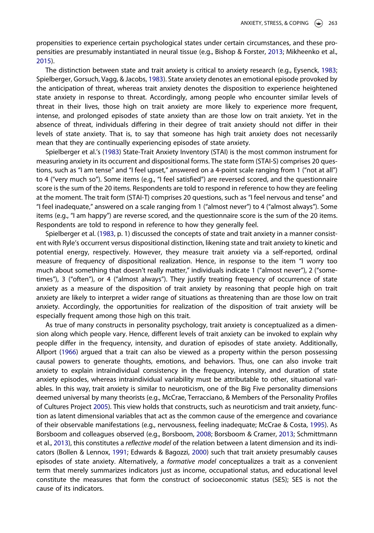<span id="page-1-0"></span>propensities to experience certain psychological states under certain circumstances, and these propensities are presumably instantiated in neural tissue (e.g., Bishop & Forster, [2013](#page-11-0); Mikheenko et al., [2015](#page-13-0)).

The distinction between state and trait anxiety is critical to anxiety research (e.g., Eysenck, [1983](#page-12-0); Spielberger, Gorsuch, Vagg, & Jacobs, [1983](#page-14-0)). State anxiety denotes an emotional episode provoked by the anticipation of threat, whereas trait anxiety denotes the disposition to experience heightened state anxiety in response to threat. Accordingly, among people who encounter similar levels of threat in their lives, those high on trait anxiety are more likely to experience more frequent, intense, and prolonged episodes of state anxiety than are those low on trait anxiety. Yet in the absence of threat, individuals differing in their degree of trait anxiety should not differ in their levels of state anxiety. That is, to say that someone has high trait anxiety does not necessarily mean that they are continually experiencing episodes of state anxiety.

Spielberger et al.'s ([1983](#page-14-0)) State-Trait Anxiety Inventory (STAI) is the most common instrument for measuring anxiety in its occurrent and dispositional forms. The state form (STAI-S) comprises 20 questions, such as "I am tense" and "I feel upset," answered on a 4-point scale ranging from 1 ("not at all") to 4 ("very much so"). Some items (e.g., "I feel satisfied") are reversed scored, and the questionnaire score is the sum of the 20 items. Respondents are told to respond in reference to how they are feeling at the moment. The trait form (STAI-T) comprises 20 questions, such as "I feel nervous and tense" and "I feel inadequate," answered on a scale ranging from 1 ("almost never") to 4 ("almost always"). Some items (e.g., "I am happy") are reverse scored, and the questionnaire score is the sum of the 20 items. Respondents are told to respond in reference to how they generally feel.

Spielberger et al. [\(1983,](#page-14-0) p. 1) discussed the concepts of state and trait anxiety in a manner consistent with Ryle's occurrent versus dispositional distinction, likening state and trait anxiety to kinetic and potential energy, respectively. However, they measure trait anxiety via a self-reported, ordinal measure of frequency of dispositional realization. Hence, in response to the item "I worry too much about something that doesn't really matter," individuals indicate 1 ("almost never"), 2 ("sometimes"), 3 ("often"), or 4 ("almost always"). They justify treating frequency of occurrence of state anxiety as a measure of the disposition of trait anxiety by reasoning that people high on trait anxiety are likely to interpret a wider range of situations as threatening than are those low on trait anxiety. Accordingly, the opportunities for realization of the disposition of trait anxiety will be especially frequent among those high on this trait.

As true of many constructs in personality psychology, trait anxiety is conceptualized as a dimension along which people vary. Hence, different levels of trait anxiety can be invoked to explain why people differ in the frequency, intensity, and duration of episodes of state anxiety. Additionally, Allport [\(1966](#page-11-0)) argued that a trait can also be viewed as a property within the person possessing causal powers to generate thoughts, emotions, and behaviors. Thus, one can also invoke trait anxiety to explain intraindividual consistency in the frequency, intensity, and duration of state anxiety episodes, whereas intraindividual variability must be attributable to other, situational variables. In this way, trait anxiety is similar to neuroticism, one of the Big Five personality dimensions deemed universal by many theorists (e.g., McCrae, Terracciano, & Members of the Personality Profiles of Cultures Project [2005\)](#page-13-0). This view holds that constructs, such as neuroticism and trait anxiety, function as latent dimensional variables that act as the common cause of the emergence and covariance of their observable manifestations (e.g., nervousness, feeling inadequate; McCrae & Costa, [1995](#page-13-0)). As Borsboom and colleagues observed (e.g., Borsboom, [2008;](#page-11-0) Borsboom & Cramer, [2013](#page-11-0); Schmittmann et al., [2013](#page-14-0)), this constitutes a *reflective model* of the relation between a latent dimension and its indicators (Bollen & Lennox, [1991;](#page-11-0) Edwards & Bagozzi, [2000\)](#page-12-0) such that trait anxiety presumably causes episodes of state anxiety. Alternatively, a *formative model* conceptualizes a trait as a convenient term that merely summarizes indicators just as income, occupational status, and educational level constitute the measures that form the construct of socioeconomic status (SES); SES is not the cause of its indicators.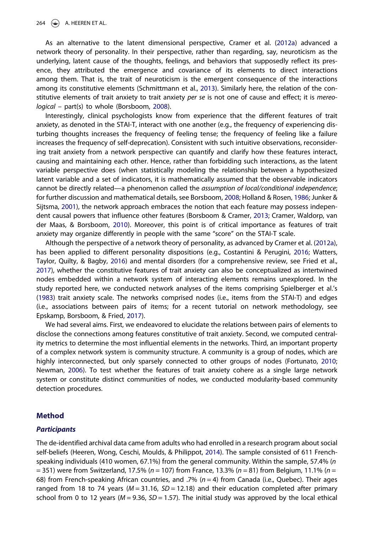<span id="page-2-0"></span>264  $\bigodot$  A. HEEREN ET AL.

As an alternative to the latent dimensional perspective, Cramer et al. [\(2012a](#page-12-0)) advanced a network theory of personality. In their perspective, rather than regarding, say, neuroticism as the underlying, latent cause of the thoughts, feelings, and behaviors that supposedly reflect its presence, they attributed the emergence and covariance of its elements to direct interactions among them. That is, the trait of neuroticism is the emergent consequence of the interactions among its constitutive elements (Schmittmann et al., [2013\)](#page-14-0). Similarly here, the relation of the constitutive elements of trait anxiety to trait anxiety per se is not one of cause and effect; it is mereological – part(s) to whole (Borsboom, [2008](#page-11-0)).

Interestingly, clinical psychologists know from experience that the different features of trait anxiety, as denoted in the STAI-T, interact with one another (e.g., the frequency of experiencing disturbing thoughts increases the frequency of feeling tense; the frequency of feeling like a failure increases the frequency of self-deprecation). Consistent with such intuitive observations, reconsidering trait anxiety from a network perspective can quantify and clarify how these features interact, causing and maintaining each other. Hence, rather than forbidding such interactions, as the latent variable perspective does (when statistically modeling the relationship between a hypothesized latent variable and a set of indicators, it is mathematically assumed that the observable indicators cannot be directly related—a phenomenon called the assumption of local/conditional independence; for further discussion and mathematical details, see Borsboom, [2008;](#page-11-0) Holland & Rosen, [1986](#page-13-0); Junker & Sijtsma, [2001\)](#page-13-0), the network approach embraces the notion that each feature may possess independent causal powers that influence other features (Borsboom & Cramer, [2013;](#page-11-0) Cramer, Waldorp, van der Maas, & Borsboom, [2010\)](#page-12-0). Moreover, this point is of critical importance as features of trait anxiety may organize differently in people with the same "score" on the STAI-T scale.

Although the perspective of a network theory of personality, as advanced by Cramer et al. ([2012a\)](#page-12-0), has been applied to different personality dispositions (e.g., Costantini & Perugini, [2016](#page-12-0); Watters, Taylor, Quilty, & Bagby, [2016](#page-14-0)) and mental disorders (for a comprehensive review, see Fried et al., [2017](#page-13-0)), whether the constitutive features of trait anxiety can also be conceptualized as intertwined nodes embedded within a network system of interacting elements remains unexplored. In the study reported here, we conducted network analyses of the items comprising Spielberger et al.'s ([1983](#page-14-0)) trait anxiety scale. The networks comprised nodes (i.e., items from the STAI-T) and edges (i.e., associations between pairs of items; for a recent tutorial on network methodology, see Epskamp, Borsboom, & Fried, [2017\)](#page-12-0).

We had several aims. First, we endeavored to elucidate the relations between pairs of elements to disclose the connections among features constitutive of trait anxiety. Second, we computed centrality metrics to determine the most influential elements in the networks. Third, an important property of a complex network system is community structure. A community is a group of nodes, which are highly interconnected, but only sparsely connected to other groups of nodes (Fortunato, [2010](#page-12-0); Newman, [2006](#page-13-0)). To test whether the features of trait anxiety cohere as a single large network system or constitute distinct communities of nodes, we conducted modularity-based community detection procedures.

## Method

## **Participants**

The de-identified archival data came from adults who had enrolled in a research program about social self-beliefs (Heeren, Wong, Ceschi, Moulds, & Philippot, [2014](#page-13-0)). The sample consisted of 611 Frenchspeaking individuals (410 women, 67.1%) from the general community. Within the sample, 57.4% (n  $=$  351) were from Switzerland, 17.5% (n = 107) from France, 13.3% (n = 81) from Belgium, 11.1% (n = 68) from French-speaking African countries, and .7% ( $n = 4$ ) from Canada (i.e., Quebec). Their ages ranged from 18 to 74 years ( $M = 31.16$ ,  $SD = 12.18$ ) and their education completed after primary school from 0 to 12 years ( $M = 9.36$ ,  $SD = 1.57$ ). The initial study was approved by the local ethical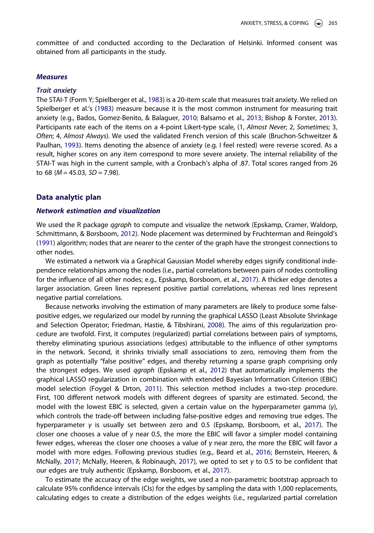<span id="page-3-0"></span>committee of and conducted according to the Declaration of Helsinki. Informed consent was obtained from all participants in the study.

#### **Measures**

#### Trait anxiety

The STAI-T (Form Y; Spielberger et al., [1983\)](#page-14-0) is a 20-item scale that measures trait anxiety. We relied on Spielberger et al.'s [\(1983](#page-14-0)) measure because it is the most common instrument for measuring trait anxiety (e.g., Bados, Gomez-Benito, & Balaguer, [2010;](#page-11-0) Balsamo et al., [2013;](#page-11-0) Bishop & Forster, [2013\)](#page-11-0). Participants rate each of the items on a 4-point Likert-type scale, (1, Almost Never; 2, Sometimes; 3, Often; 4, Almost Always). We used the validated French version of this scale (Bruchon-Schweitzer & Paulhan, [1993](#page-12-0)). Items denoting the absence of anxiety (e.g. I feel rested) were reverse scored. As a result, higher scores on any item correspond to more severe anxiety. The internal reliability of the STAI-T was high in the current sample, with a Cronbach's alpha of .87. Total scores ranged from 26 to 68 ( $M = 45.03$ ,  $SD = 7.98$ ).

#### Data analytic plan

## Network estimation and visualization

We used the R package *qgraph* to compute and visualize the network (Epskamp, Cramer, Waldorp, Schmittmann, & Borsboom, [2012\)](#page-12-0). Node placement was determined by Fruchterman and Reingold's ([1991](#page-13-0)) algorithm; nodes that are nearer to the center of the graph have the strongest connections to other nodes.

We estimated a network via a Graphical Gaussian Model whereby edges signify conditional independence relationships among the nodes (i.e., partial correlations between pairs of nodes controlling for the influence of all other nodes; e.g., Epskamp, Borsboom, et al., [2017](#page-12-0)). A thicker edge denotes a larger association. Green lines represent positive partial correlations, whereas red lines represent negative partial correlations.

Because networks involving the estimation of many parameters are likely to produce some falsepositive edges, we regularized our model by running the graphical LASSO (Least Absolute Shrinkage and Selection Operator; Friedman, Hastie, & Tibshirani, [2008](#page-13-0)). The aims of this regularization procedure are twofold. First, it computes (regularized) partial correlations between pairs of symptoms, thereby eliminating spurious associations (edges) attributable to the influence of other symptoms in the network. Second, it shrinks trivially small associations to zero, removing them from the graph as potentially "false positive" edges, and thereby returning a sparse graph comprising only the strongest edges. We used *qgraph* (Epskamp et al., [2012\)](#page-12-0) that automatically implements the graphical LASSO regularization in combination with extended Bayesian Information Criterion (EBIC) model selection (Foygel & Drton, [2011\)](#page-12-0). This selection method includes a two-step procedure. First, 100 different network models with different degrees of sparsity are estimated. Second, the model with the lowest EBIC is selected, given a certain value on the hyperparameter gamma (γ), which controls the trade-off between including false-positive edges and removing true edges. The hyperparameter γ is usually set between zero and 0.5 (Epskamp, Borsboom, et al., [2017](#page-12-0)). The closer one chooses a value of γ near 0.5, the more the EBIC will favor a simpler model containing fewer edges, whereas the closer one chooses a value of γ near zero, the more the EBIC will favor a model with more edges. Following previous studies (e.g., Beard et al., [2016](#page-11-0); Bernstein, Heeren, & McNally, [2017;](#page-11-0) McNally, Heeren, & Robinaugh, [2017](#page-13-0)), we opted to set  $\gamma$  to 0.5 to be confident that our edges are truly authentic (Epskamp, Borsboom, et al., [2017\)](#page-12-0).

To estimate the accuracy of the edge weights, we used a non-parametric bootstrap approach to calculate 95% confidence intervals (CIs) for the edges by sampling the data with 1,000 replacements, calculating edges to create a distribution of the edges weights (i.e., regularized partial correlation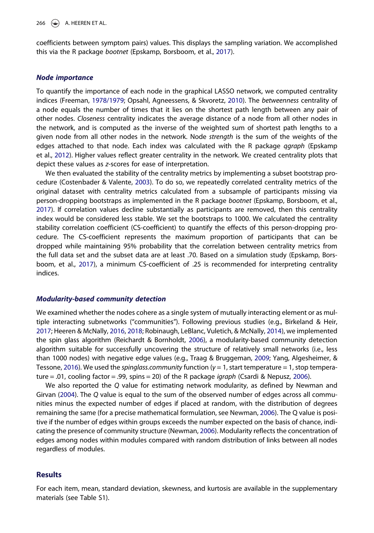<span id="page-4-0"></span>coefficients between symptom pairs) values. This displays the sampling variation. We accomplished this via the R package bootnet (Epskamp, Borsboom, et al., [2017\)](#page-12-0).

#### Node importance

To quantify the importance of each node in the graphical LASSO network, we computed centrality indices (Freeman, [1978/1979](#page-12-0); Opsahl, Agneessens, & Skvoretz, [2010](#page-14-0)). The betweenness centrality of a node equals the number of times that it lies on the shortest path length between any pair of other nodes. Closeness centrality indicates the average distance of a node from all other nodes in the network, and is computed as the inverse of the weighted sum of shortest path lengths to a given node from all other nodes in the network. Node *strength* is the sum of the weights of the edges attached to that node. Each index was calculated with the R package *ggraph* (Epskamp et al., [2012\)](#page-12-0). Higher values reflect greater centrality in the network. We created centrality plots that depict these values as z-scores for ease of interpretation.

We then evaluated the stability of the centrality metrics by implementing a subset bootstrap procedure (Costenbader & Valente, [2003\)](#page-12-0). To do so, we repeatedly correlated centrality metrics of the original dataset with centrality metrics calculated from a subsample of participants missing via person-dropping bootstraps as implemented in the R package bootnet (Epskamp, Borsboom, et al., [2017](#page-12-0)). If correlation values decline substantially as participants are removed, then this centrality index would be considered less stable. We set the bootstraps to 1000. We calculated the centrality stability correlation coefficient (CS-coefficient) to quantify the effects of this person-dropping procedure. The CS-coefficient represents the maximum proportion of participants that can be dropped while maintaining 95% probability that the correlation between centrality metrics from the full data set and the subset data are at least .70. Based on a simulation study (Epskamp, Borsboom, et al., [2017](#page-12-0)), a minimum CS-coefficient of .25 is recommended for interpreting centrality indices.

#### Modularity-based community detection

We examined whether the nodes cohere as a single system of mutually interacting element or as multiple interacting subnetworks ("communities"). Following previous studies (e.g., Birkeland & Heir, [2017](#page-11-0); Heeren & McNally, [2016](#page-13-0), [2018;](#page-13-0) Robinaugh, LeBlanc, Vuletich, & McNally, [2014\)](#page-14-0), we implemented the spin glass algorithm (Reichardt & Bornholdt, [2006](#page-14-0)), a modularity-based community detection algorithm suitable for successfully uncovering the structure of relatively small networks (i.e., less than 1000 nodes) with negative edge values (e.g., Traag & Bruggeman, [2009](#page-14-0); Yang, Algesheimer, & Tessone, [2016](#page-14-0)). We used the *spinglass.community* function ( $y = 1$ , start temperature = 1, stop temperature  $= 0.01$ , cooling factor  $= 0.99$ , spins  $= 20$ ) of the R package *igraph* (Csardi & Nepusz, [2006](#page-12-0)).

We also reported the Q value for estimating network modularity, as defined by Newman and Girvan [\(2004\)](#page-14-0). The Q value is equal to the sum of the observed number of edges across all communities minus the expected number of edges if placed at random, with the distribution of degrees remaining the same (for a precise mathematical formulation, see Newman, [2006\)](#page-13-0). The Q value is positive if the number of edges within groups exceeds the number expected on the basis of chance, indicating the presence of community structure (Newman, [2006](#page-13-0)). Modularity reflects the concentration of edges among nodes within modules compared with random distribution of links between all nodes regardless of modules.

## **Results**

For each item, mean, standard deviation, skewness, and kurtosis are available in the supplementary materials (see Table S1).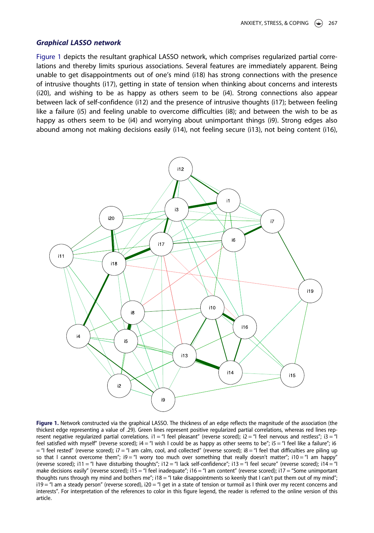## Graphical LASSO network

Figure 1 depicts the resultant graphical LASSO network, which comprises regularized partial correlations and thereby limits spurious associations. Several features are immediately apparent. Being unable to get disappointments out of one's mind (i18) has strong connections with the presence of intrusive thoughts (i17), getting in state of tension when thinking about concerns and interests (i20), and wishing to be as happy as others seem to be (i4). Strong connections also appear between lack of self-confidence (i12) and the presence of intrusive thoughts (i17); between feeling like a failure (i5) and feeling unable to overcome difficulties (i8); and between the wish to be as happy as others seem to be (i4) and worrying about unimportant things (i9). Strong edges also abound among not making decisions easily (i14), not feeling secure (i13), not being content (i16),



Figure 1. Network constructed via the graphical LASSO. The thickness of an edge reflects the magnitude of the association (the thickest edge representing a value of .29). Green lines represent positive regularized partial correlations, whereas red lines represent negative regularized partial correlations.  $11 = 1$  feel pleasant" (reverse scored);  $12 = 1$  feel nervous and restless";  $13 = 1$ feel satisfied with myself" (reverse scored);  $4 = 4$  wish I could be as happy as other seems to be";  $5 = 4$  feel like a failure"; i6 = "I feel rested" (reverse scored); i7 = "I am calm, cool, and collected" (reverse scored); i8 = "I feel that difficulties are piling up so that I cannot overcome them";  $i9 = 1$  worry too much over something that really doesn't matter";  $i10 = 1$  am happy" (reverse scored); i11 = "I have disturbing thoughts"; i12 = "I lack self-confidence"; i13 = "I feel secure" (reverse scored); i14 = "I make decisions easily" (reverse scored); i15 = "I feel inadequate"; i16 = "I am content" (reverse scored); i17 = "Some unimportant thoughts runs through my mind and bothers me"; i18 = "I take disappointments so keenly that I can't put them out of my mind"; i19 = "I am a steady person" (reverse scored), i20 = "I get in a state of tension or turmoil as I think over my recent concerns and interests". For interpretation of the references to color in this figure legend, the reader is referred to the online version of this article.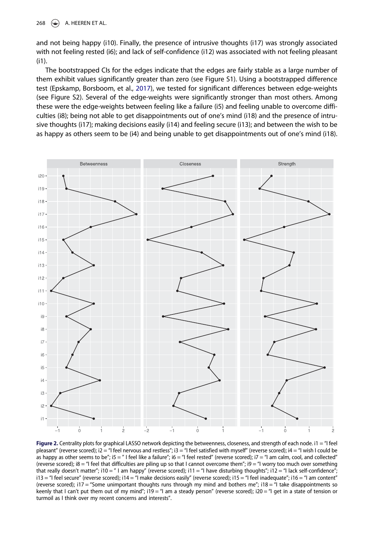<span id="page-6-0"></span>268  $\bigodot$  A. HEEREN ET AL.

and not being happy (i10). Finally, the presence of intrusive thoughts (i17) was strongly associated with not feeling rested (i6); and lack of self-confidence (i12) was associated with not feeling pleasant (i1).

The bootstrapped CIs for the edges indicate that the edges are fairly stable as a large number of them exhibit values significantly greater than zero (see Figure S1). Using a bootstrapped difference test (Epskamp, Borsboom, et al., [2017\)](#page-12-0), we tested for significant differences between edge-weights (see Figure S2). Several of the edge-weights were significantly stronger than most others. Among these were the edge-weights between feeling like a failure (i5) and feeling unable to overcome difficulties (i8); being not able to get disappointments out of one's mind (i18) and the presence of intrusive thoughts (i17); making decisions easily (i14) and feeling secure (i13); and between the wish to be as happy as others seem to be (i4) and being unable to get disappointments out of one's mind (i18).



Figure 2. Centrality plots for graphical LASSO network depicting the betweenness, closeness, and strength of each node.  $i1 =$  "I feel pleasant" (reverse scored); i2 = "I feel nervous and restless"; i3 = "I feel satisfied with myself" (reverse scored); i4 = "I wish I could be as happy as other seems to be"; i5 = " I feel like a failure"; i6 = "I feel rested" (reverse scored); i7 = "I am calm, cool, and collected" (reverse scored); i8 = "I feel that difficulties are piling up so that I cannot overcome them"; i9 = "I worry too much over something that really doesn't matter"; i10 = " I am happy" (reverse scored); i11 = "I have disturbing thoughts"; i12 = "I lack self-confidence"; i13 = "I feel secure" (reverse scored); i14 = "I make decisions easily" (reverse scored); i15 = "I feel inadequate"; i16 = "I am content" (reverse scored); i17 = "Some unimportant thoughts runs through my mind and bothers me"; i18 = "I take disappointments so keenly that I can't put them out of my mind"; i19 = "I am a steady person" (reverse scored); i20 = "I get in a state of tension or turmoil as I think over my recent concerns and interests".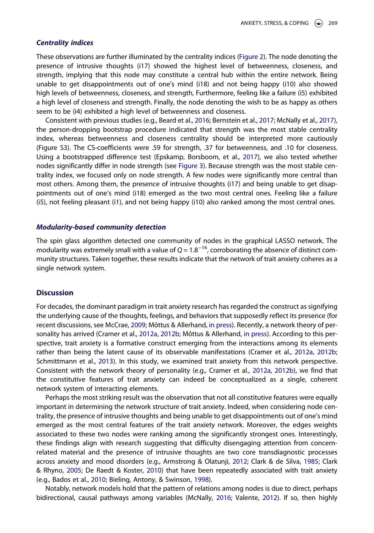## <span id="page-7-0"></span>Centrality indices

These observations are further illuminated by the centrality indices ([Figure 2\)](#page-6-0). The node denoting the presence of intrusive thoughts (i17) showed the highest level of betweenness, closeness, and strength, implying that this node may constitute a central hub within the entire network. Being unable to get disappointments out of one's mind (i18) and not being happy (i10) also showed high levels of betweenness, closeness, and strength, Furthermore, feeling like a failure (i5) exhibited a high level of closeness and strength. Finally, the node denoting the wish to be as happy as others seem to be (i4) exhibited a high level of betweenness and closeness.

Consistent with previous studies (e.g., Beard et al., [2016](#page-11-0); Bernstein et al., [2017](#page-11-0); McNally et al., [2017\)](#page-13-0), the person-dropping bootstrap procedure indicated that strength was the most stable centrality index, whereas betweenness and closeness centrality should be interpreted more cautiously (Figure S3). The CS-coefficients were .59 for strength, .37 for betweenness, and .10 for closeness. Using a bootstrapped difference test (Epskamp, Borsboom, et al., [2017\)](#page-12-0), we also tested whether nodes significantly differ in node strength (see [Figure 3](#page-8-0)). Because strength was the most stable centrality index, we focused only on node strength. A few nodes were significantly more central than most others. Among them, the presence of intrusive thoughts (i17) and being unable to get disappointments out of one's mind (i18) emerged as the two most central ones. Feeling like a failure (i5), not feeling pleasant (i1), and not being happy (i10) also ranked among the most central ones.

## Modularity-based community detection

The spin glass algorithm detected one community of nodes in the graphical LASSO network. The modularity was extremely small with a value of  $Q = 1.8<sup>-16</sup>$ , corroborating the absence of distinct community structures. Taken together, these results indicate that the network of trait anxiety coheres as a single network system.

#### **Discussion**

For decades, the dominant paradigm in trait anxiety research has regarded the construct as signifying the underlying cause of the thoughts, feelings, and behaviors that supposedly reflect its presence (for recent discussions, see McCrae, [2009](#page-13-0); Mõttus & Allerhand, [in press\)](#page-13-0). Recently, a network theory of personality has arrived (Cramer et al., [2012a,](#page-12-0) [2012b;](#page-12-0) Mõttus & Allerhand, [in press](#page-13-0)). According to this perspective, trait anxiety is a formative construct emerging from the interactions among its elements rather than being the latent cause of its observable manifestations (Cramer et al., [2012a,](#page-12-0) [2012b](#page-12-0); Schmittmann et al., [2013](#page-14-0)). In this study, we examined trait anxiety from this network perspective. Consistent with the network theory of personality (e.g., Cramer et al., [2012a](#page-12-0), [2012b](#page-12-0)), we find that the constitutive features of trait anxiety can indeed be conceptualized as a single, coherent network system of interacting elements.

Perhaps the most striking result was the observation that not all constitutive features were equally important in determining the network structure of trait anxiety. Indeed, when considering node centrality, the presence of intrusive thoughts and being unable to get disappointments out of one's mind emerged as the most central features of the trait anxiety network. Moreover, the edges weights associated to these two nodes were ranking among the significantly strongest ones. Interestingly, these findings align with research suggesting that difficulty disengaging attention from concernrelated material and the presence of intrusive thoughts are two core transdiagnostic processes across anxiety and mood disorders (e.g., Armstrong & Olatunji, [2012](#page-11-0); Clark & de Silva, [1985](#page-12-0); Clark & Rhyno, [2005](#page-12-0); De Raedt & Koster, [2010\)](#page-12-0) that have been repeatedly associated with trait anxiety (e.g., Bados et al., [2010](#page-11-0); Bieling, Antony, & Swinson, [1998\)](#page-11-0).

Notably, network models hold that the pattern of relations among nodes is due to direct, perhaps bidirectional, causal pathways among variables (McNally, [2016;](#page-13-0) Valente, [2012\)](#page-14-0). If so, then highly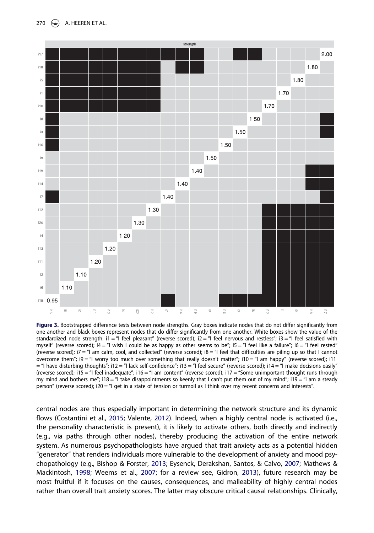<span id="page-8-0"></span>

Figure 3. Bootstrapped difference tests between node strengths. Gray boxes indicate nodes that do not differ significantly from one another and black boxes represent nodes that do differ significantly from one another. White boxes show the value of the standardized node strength. i1 = "I feel pleasant" (reverse scored); i2 = "I feel nervous and restless"; i3 = "I feel satisfied with myself" (reverse scored);  $i4 =$  "I wish I could be as happy as other seems to be";  $i5 =$  "I feel like a failure";  $i6 =$  "I feel rested" (reverse scored); i7 = "I am calm, cool, and collected" (reverse scored); i8 = "I feel that difficulties are piling up so that I cannot overcome them";  $i = 1$  worry too much over something that really doesn't matter";  $i = 10$  = "I am happy" (reverse scored); i11 = "I have disturbing thoughts"; i12 = "I lack self-confidence"; i13 = "I feel secure" (reverse scored); i14 = "I make decisions easily" (reverse scored); i15 = "I feel inadequate"; i16 = "I am content" (reverse scored); i17 = "Some unimportant thought runs through my mind and bothers me"; i18 = "I take disappointments so keenly that I can't put them out of my mind"; i19 = "I am a steady person" (reverse scored); i20 = "I get in a state of tension or turmoil as I think over my recent concerns and interests".

central nodes are thus especially important in determining the network structure and its dynamic flows (Costantini et al., [2015](#page-12-0); Valente, [2012](#page-14-0)). Indeed, when a highly central node is activated (i.e., the personality characteristic is present), it is likely to activate others, both directly and indirectly (e.g., via paths through other nodes), thereby producing the activation of the entire network system. As numerous psychopathologists have argued that trait anxiety acts as a potential hidden "generator" that renders individuals more vulnerable to the development of anxiety and mood psychopathology (e.g., Bishop & Forster, [2013](#page-11-0); Eysenck, Derakshan, Santos, & Calvo, [2007](#page-12-0); Mathews & Mackintosh, [1998](#page-13-0); Weems et al., [2007](#page-14-0); for a review see, Gidron, [2013\)](#page-13-0), future research may be most fruitful if it focuses on the causes, consequences, and malleability of highly central nodes rather than overall trait anxiety scores. The latter may obscure critical causal relationships. Clinically,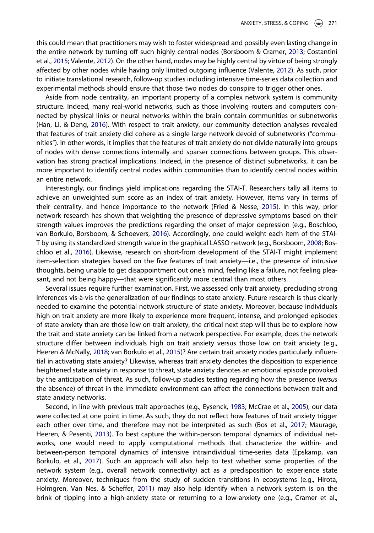<span id="page-9-0"></span>this could mean that practitioners may wish to foster widespread and possibly even lasting change in the entire network by turning off such highly central nodes (Borsboom & Cramer, [2013](#page-11-0); Costantini et al., [2015;](#page-12-0) Valente, [2012](#page-14-0)). On the other hand, nodes may be highly central by virtue of being strongly affected by other nodes while having only limited outgoing influence (Valente, [2012](#page-14-0)). As such, prior to initiate translational research, follow-up studies including intensive time-series data collection and experimental methods should ensure that those two nodes do conspire to trigger other ones.

Aside from node centrality, an important property of a complex network system is community structure. Indeed, many real-world networks, such as those involving routers and computers connected by physical links or neural networks within the brain contain communities or subnetworks (Han, Li, & Deng, [2016\)](#page-13-0). With respect to trait anxiety, our community detection analyses revealed that features of trait anxiety did cohere as a single large network devoid of subnetworks ("communities"). In other words, it implies that the features of trait anxiety do not divide naturally into groups of nodes with dense connections internally and sparser connections between groups. This observation has strong practical implications. Indeed, in the presence of distinct subnetworks, it can be more important to identify central nodes within communities than to identify central nodes within an entire network.

Interestingly, our findings yield implications regarding the STAI-T. Researchers tally all items to achieve an unweighted sum score as an index of trait anxiety. However, items vary in terms of their centrality, and hence importance to the network (Fried & Nesse, [2015\)](#page-13-0). In this way, prior network research has shown that weighting the presence of depressive symptoms based on their strength values improves the predictions regarding the onset of major depression (e.g., Boschloo, van Borkulo, Borsboom, & Schoevers, [2016](#page-12-0)). Accordingly, one could weight each item of the STAI-T by using its standardized strength value in the graphical LASSO network (e.g., Borsboom, [2008](#page-11-0); Boschloo et al., [2016](#page-12-0)). Likewise, research on short-from development of the STAI-T might implement item-selection strategies based on the five features of trait anxiety—i.e., the presence of intrusive thoughts, being unable to get disappointment out one's mind, feeling like a failure, not feeling pleasant, and not being happy—that were significantly more central than most others.

Several issues require further examination. First, we assessed only trait anxiety, precluding strong inferences vis-à-vis the generalization of our findings to state anxiety. Future research is thus clearly needed to examine the potential network structure of state anxiety. Moreover, because individuals high on trait anxiety are more likely to experience more frequent, intense, and prolonged episodes of state anxiety than are those low on trait anxiety, the critical next step will thus be to explore how the trait and state anxiety can be linked from a network perspective. For example, does the network structure differ between individuals high on trait anxiety versus those low on trait anxiety (e.g., Heeren & McNally, [2018](#page-13-0); van Borkulo et al., [2015](#page-14-0))? Are certain trait anxiety nodes particularly influential in activating state anxiety? Likewise, whereas trait anxiety denotes the disposition to experience heightened state anxiety in response to threat, state anxiety denotes an emotional episode provoked by the anticipation of threat. As such, follow-up studies testing regarding how the presence (versus the absence) of threat in the immediate environment can affect the connections between trait and state anxiety networks.

Second, in line with previous trait approaches (e.g., Eysenck, [1983](#page-12-0); McCrae et al., [2005](#page-13-0)), our data were collected at one point in time. As such, they do not reflect how features of trait anxiety trigger each other over time, and therefore may not be interpreted as such (Bos et al., [2017;](#page-12-0) Maurage, Heeren, & Pesenti, [2013\)](#page-13-0). To best capture the within-person temporal dynamics of individual networks, one would need to apply computational methods that characterize the within- and between-person temporal dynamics of intensive intraindividual time-series data (Epskamp, van Borkulo, et al., [2017](#page-12-0)). Such an approach will also help to test whether some properties of the network system (e.g., overall network connectivity) act as a predisposition to experience state anxiety. Moreover, techniques from the study of sudden transitions in ecosystems (e.g., Hirota, Holmgren, Van Nes, & Scheffer, [2011](#page-13-0)) may also help identify when a network system is on the brink of tipping into a high-anxiety state or returning to a low-anxiety one (e.g., Cramer et al.,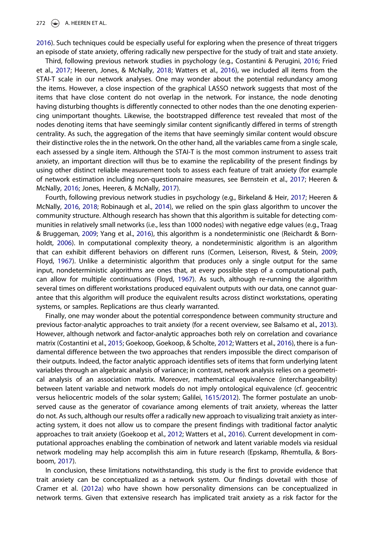<span id="page-10-0"></span>[2016](#page-12-0)). Such techniques could be especially useful for exploring when the presence of threat triggers an episode of state anxiety, offering radically new perspective for the study of trait and state anxiety.

Third, following previous network studies in psychology (e.g., Costantini & Perugini, [2016](#page-12-0); Fried et al., [2017;](#page-13-0) Heeren, Jones, & McNally, [2018](#page-13-0); Watters et al., [2016](#page-14-0)), we included all items from the STAI-T scale in our network analyses. One may wonder about the potential redundancy among the items. However, a close inspection of the graphical LASSO network suggests that most of the items that have close content do not overlap in the network. For instance, the node denoting having disturbing thoughts is differently connected to other nodes than the one denoting experiencing unimportant thoughts. Likewise, the bootstrapped difference test revealed that most of the nodes denoting items that have seemingly similar content significantly differed in terms of strength centrality. As such, the aggregation of the items that have seemingly similar content would obscure their distinctive roles the in the network. On the other hand, all the variables came from a single scale, each assessed by a single item. Although the STAI-T is the most common instrument to assess trait anxiety, an important direction will thus be to examine the replicability of the present findings by using other distinct reliable measurement tools to assess each feature of trait anxiety (for example of network estimation including non-questionnaire measures, see Bernstein et al., [2017](#page-11-0); Heeren & McNally, [2016;](#page-13-0) Jones, Heeren, & McNally, [2017](#page-13-0)).

Fourth, following previous network studies in psychology (e.g., Birkeland & Heir, [2017](#page-11-0); Heeren & McNally, [2016,](#page-13-0) [2018](#page-13-0); Robinaugh et al., [2014\)](#page-14-0), we relied on the spin glass algorithm to uncover the community structure. Although research has shown that this algorithm is suitable for detecting communities in relatively small networks (i.e., less than 1000 nodes) with negative edge values (e.g., Traag & Bruggeman, [2009;](#page-14-0) Yang et al., [2016\)](#page-14-0), this algorithm is a nondeterministic one (Reichardt & Bornholdt, [2006\)](#page-14-0). In computational complexity theory, a nondeterministic algorithm is an algorithm that can exhibit different behaviors on different runs (Cormen, Leiserson, Rivest, & Stein, [2009](#page-12-0); Floyd, [1967](#page-12-0)). Unlike a deterministic algorithm that produces only a single output for the same input, nondeterministic algorithms are ones that, at every possible step of a computational path, can allow for multiple continuations (Floyd, [1967](#page-12-0)). As such, although re-running the algorithm several times on different workstations produced equivalent outputs with our data, one cannot guarantee that this algorithm will produce the equivalent results across distinct workstations, operating systems, or samples. Replications are thus clearly warranted.

Finally, one may wonder about the potential correspondence between community structure and previous factor-analytic approaches to trait anxiety (for a recent overview, see Balsamo et al., [2013\)](#page-11-0). However, although network and factor-analytic approaches both rely on correlation and covariance matrix (Costantini et al., [2015;](#page-12-0) Goekoop, Goekoop, & Scholte, [2012;](#page-13-0) Watters et al., [2016\)](#page-14-0), there is a fundamental difference between the two approaches that renders impossible the direct comparison of their outputs. Indeed, the factor analytic approach identifies sets of items that form underlying latent variables through an algebraic analysis of variance; in contrast, network analysis relies on a geometrical analysis of an association matrix. Moreover, mathematical equivalence (interchangeability) between latent variable and network models do not imply ontological equivalence (cf. geocentric versus heliocentric models of the solar system; Galilei, [1615/2012](#page-13-0)). The former postulate an unobserved cause as the generator of covariance among elements of trait anxiety, whereas the latter do not. As such, although our results offer a radically new approach to visualizing trait anxiety as interacting system, it does not allow us to compare the present findings with traditional factor analytic approaches to trait anxiety (Goekoop et al., [2012;](#page-13-0) Watters et al., [2016](#page-14-0)). Current development in computational approaches enabling the combination of network and latent variable models via residual network modeling may help accomplish this aim in future research (Epskamp, Rhemtulla, & Borsboom, [2017\)](#page-12-0).

In conclusion, these limitations notwithstanding, this study is the first to provide evidence that trait anxiety can be conceptualized as a network system. Our findings dovetail with those of Cramer et al. [\(2012a](#page-12-0)) who have shown how personality dimensions can be conceptualized in network terms. Given that extensive research has implicated trait anxiety as a risk factor for the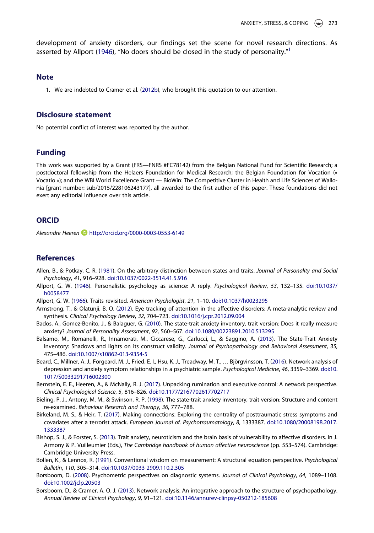<span id="page-11-0"></span>development of anxiety disorders, our findings set the scene for novel research directions. As asserted by Allport (1946), "No doors should be closed in the study of personality."<sup>1</sup>

# **Note**

1. We are indebted to Cramer et al. [\(2012b](#page-12-0)), who brought this quotation to our attention.

#### Disclosure statement

No potential conflict of interest was reported by the author.

## Funding

This work was supported by a Grant (FRS—FNRS #FC78142) from the Belgian National Fund for Scientific Research; a postdoctoral fellowship from the Helaers Foundation for Medical Research; the Belgian Foundation for Vocation (« Vocatio »); and the WBI World Excellence Grant — BioWin: The Competitive Cluster in Health and Life Sciences of Wallonia [grant number: sub/2015/228106243177], all awarded to the first author of this paper. These foundations did not exert any editorial influence over this article.

# **ORCID**

Alexandre Heeren **<http://orcid.org/0000-0003-0553-6149>** 

## References

- Allen, B., & Potkay, C. R. [\(1981\)](#page-0-0). On the arbitrary distinction between states and traits. Journal of Personality and Social Psychology, 41, 916–928. [doi:10.1037/0022-3514.41.5.916](https://doi.org/10.1037/0022-3514.41.5.916)
- Allport, G. W. (1946). Personalistic psychology as science: A reply. Psychological Review, 53, 132–135. [doi:10.1037/](https://doi.org/10.1037/h0058477) [h0058477](https://doi.org/10.1037/h0058477)
- Allport, G. W. [\(1966\)](#page-0-0). Traits revisited. American Psychologist, 21, 1–10. [doi:10.1037/h0023295](https://doi.org/10.1037/h0023295)
- Armstrong, T., & Olatunji, B. O. ([2012\)](#page-7-0). Eye tracking of attention in the affective disorders: A meta-analytic review and synthesis. Clinical Psychology Review, 32, 704–723. [doi:10.1016/j.cpr.2012.09.004](https://doi.org/10.1016/j.cpr.2012.09.004)
- Bados, A., Gomez-Benito, J., & Balaguer, G. ([2010\)](#page-3-0). The state-trait anxiety inventory, trait version: Does it really measure anxiety? Journal of Personality Assessment, 92, 560–567. [doi:10.1080/00223891.2010.513295](https://doi.org/10.1080/00223891.2010.513295)
- Balsamo, M., Romanelli, R., Innamorati, M., Ciccarese, G., Carlucci, L., & Saggino, A. ([2013\)](#page-3-0). The State-Trait Anxiety Inventory: Shadows and lights on its construct validity. Journal of Psychopathology and Behavioral Assessment, 35, 475–486. [doi:10.1007/s10862-013-9354-5](https://doi.org/10.1007/s10862-013-9354-5)
- Beard, C., Millner, A. J., Forgeard, M. J., Fried, E. I., Hsu, K. J., Treadway, M. T., … Björgvinsson, T. ([2016](#page-3-0)). Network analysis of depression and anxiety symptom relationships in a psychiatric sample. Psychological Medicine, 46, 3359–3369. [doi:10.](https://doi.org/10.1017/S0033291716002300) [1017/S0033291716002300](https://doi.org/10.1017/S0033291716002300)
- Bernstein, E. E., Heeren, A., & McNally, R. J. ([2017\)](#page-3-0). Unpacking rumination and executive control: A network perspective. Clinical Psychological Science, 5, 816–826. [doi:10.1177/2167702617702717](https://doi.org/10.1177/2167702617702717)
- Bieling, P. J., Antony, M. M., & Swinson, R. P. ([1998\)](#page-7-0). The state-trait anxiety inventory, trait version: Structure and content re-examined. Behaviour Research and Therapy, 36, 777–788.
- Birkeland, M. S., & Heir, T. [\(2017\)](#page-4-0). Making connections: Exploring the centrality of posttraumatic stress symptoms and covariates after a terrorist attack. European Journal of. Psychotraumatology, 8, 1333387. [doi:10.1080/20008198.2017.](https://doi.org/10.1080/20008198.2017.1333387) [1333387](https://doi.org/10.1080/20008198.2017.1333387)
- Bishop, S. J., & Forster, S. [\(2013\)](#page-1-0). Trait anxiety, neuroticism and the brain basis of vulnerability to affective disorders. In J. Armony & P. Vuilleumier (Eds.), The Cambridge handbook of human affective neuroscience (pp. 553–574). Cambridge: Cambridge University Press.
- Bollen, K., & Lennox, R. [\(1991\)](#page-1-0). Conventional wisdom on measurement: A structural equation perspective. Psychological Bulletin, 110, 305–314. [doi:10.1037/0033-2909.110.2.305](https://doi.org/10.1037/0033-2909.110.2.305)
- Borsboom, D. [\(2008\)](#page-1-0). Psychometric perspectives on diagnostic systems. Journal of Clinical Psychology, 64, 1089–1108. [doi:10.1002/jclp.20503](https://doi.org/10.1002/jclp.20503)
- Borsboom, D., & Cramer, A. O. J. [\(2013](#page-1-0)). Network analysis: An integrative approach to the structure of psychopathology. Annual Review of Clinical Psychology, 9, 91–121. [doi:10.1146/annurev-clinpsy-050212-185608](https://doi.org/10.1146/annurev-clinpsy-050212-185608)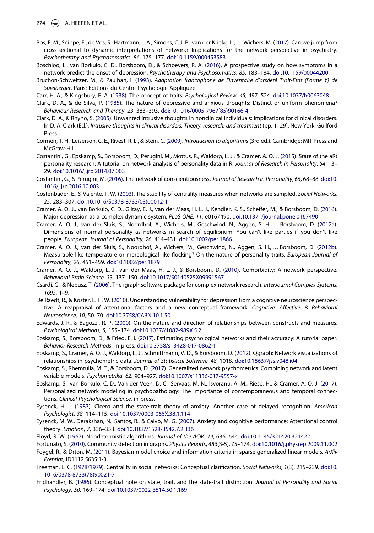<span id="page-12-0"></span> $\circled{\LARGE\bullet}$  A. HEEREN ET AL.

- Bos, F. M., Snippe, E., de Vos, S., Hartmann, J. A., Simons, C. J. P., van der Krieke, L., … Wichers, M. ([2017\)](#page-9-0). Can we jump from cross-sectional to dynamic interpretations of network? Implications for the network perspective in psychiatry. Psychotherapy and Psychosomatics, 86, 175–177. [doi:10.1159/000453583](https://doi.org/10.1159/000453583)
- Boschloo, L., van Borkulo, C. D., Borsboom, D., & Schoevers, R. A. ([2016\)](#page-9-0). A prospective study on how symptoms in a network predict the onset of depression. Psychotherapy and Psychosomatics, 85, 183–184. [doi:10.1159/000442001](https://doi.org/10.1159/000442001)
- Bruchon-Schweitzer, M., & Paulhan, I. ([1993\)](#page-3-0). Adaptation francophone de l'inventaire d'anxiété Trait-Etat (Forme Y) de Spielberger. Paris: Editions du Centre Psychologie Appliquée.
- Carr, H. A., & Kingsbury, F. A. [\(1938\)](#page-0-0). The concept of traits. Psychological Review, 45, 497–524. [doi:10.1037/h0063048](https://doi.org/10.1037/h0063048)
- Clark, D. A., & de Silva, P. ([1985\)](#page-7-0). The nature of depressive and anxious thoughts: Distinct or uniform phenomena? Behaviour Research and Therapy, 23, 383–393. [doi:10.1016/0005-7967\(85\)90166-4](https://doi.org/10.1016/0005-7967(85)90166-4)
- Clark, D. A., & Rhyno, S. [\(2005](#page-7-0)). Unwanted intrusive thoughts in nonclinical individuals: Implications for clinical disorders. In D. A. Clark (Ed.), Intrusive thoughts in clinical disorders: Theory, research, and treatment (pp. 1–29). New York: Guilford Press.
- Cormen, T. H., Leiserson, C. E., Rivest, R. L., & Stein, C. ([2009\)](#page-10-0). Introduction to algorithms (3rd ed.). Cambridge: MIT Press and McGraw-Hill.
- Costantini, G., Epskamp, S., Borsboom, D., Perugini, M., Mottus, R., Waldorp, L. J., & Cramer, A. O. J. [\(2015\)](#page-8-0). State of the aRt personality research: A tutorial on network analysis of personality data in R. Journal of Research in Personality, 54, 13– 29. [doi:10.1016/j.jrp.2014.07.003](https://doi.org/10.1016/j.jrp.2014.07.003)
- Costantini, G., & Perugini, M. ([2016\)](#page-2-0). The network of conscientiousness. Journal of Research in Personality, 65, 68–88. [doi:10.](https://doi.org/10.1016/j.jrp.2016.10.003) [1016/j.jrp.2016.10.003](https://doi.org/10.1016/j.jrp.2016.10.003)
- Costenbader, E., & Valente, T. W. ([2003\)](#page-4-0). The stability of centrality measures when networks are sampled. Social Networks, 25, 283–307. [doi:10.1016/S0378-8733\(03\)00012-1](https://doi.org/10.1016/S0378-8733(03)00012-1)
- Cramer, A. O. J., van Borkulo, C. D., Giltay, E. J., van der Maas, H. L. J., Kendler, K. S., Scheffer, M., & Borsboom, D. [\(2016](#page-9-0)). Major depression as a complex dynamic system. PLoS ONE, 11, e0167490. [doi:10.1371/journal.pone.0167490](https://doi.org/10.1371/journal.pone.0167490)
- Cramer, A. O. J., van der Sluis, S., Noordhof, A., Wichers, M., Geschwind, N., Aggen, S. H., … Borsboom, D. [\(2012a](#page-2-0)). Dimensions of normal personality as networks in search of equilibrium: You can't like parties if you don't like people. European Journal of Personality, 26, 414–431. [doi:10.1002/per.1866](https://doi.org/10.1002/per.1866)
- Cramer, A. O. J., van der Sluis, S., Noordhof, A., Wichers, M., Geschwind, N., Aggen, S. H., … Borsboom, D. ([2012b](#page-7-0)). Measurable like temperature or mereological like flocking? On the nature of personality traits. European Journal of Personality, 26, 451–459. [doi:10.1002/per.1879](https://doi.org/10.1002/per.1879)
- Cramer, A. O. J., Waldorp, L. J., van der Maas, H. L. J., & Borsboom, D. ([2010](#page-2-0)). Comorbidity: A network perspective. Behavioral Brain Science, 33, 137–150. [doi:10.1017/S0140525X09991567](https://doi.org/10.1017/S0140525X09991567)
- Csardi, G., & Nepusz, T. [\(2006\)](#page-4-0). The igraph software package for complex network research. InterJournal Complex Systems, 1695, 1–9.
- De Raedt, R., & Koster, E. H. W. ([2010\)](#page-7-0). Understanding vulnerability for depression from a cognitive neuroscience perspective: A reappraisal of attentional factors and a new conceptual framework. Cognitive, Affective, & Behavioral Neuroscience, 10, 50–70. [doi:10.3758/CABN.10.1.50](https://doi.org/10.3758/CABN.10.1.50)
- Edwards, J. R., & Bagozzi, R. P. ([2000\)](#page-1-0). On the nature and direction of relationships between constructs and measures. Psychological Methods, 5, 155–174. [doi:10.1037//1082-989X.5.2](https://doi.org/10.1037//1082-989X.5.2)
- Epskamp, S., Borsboom, D., & Fried, E. I. [\(2017\)](#page-2-0). Estimating psychological networks and their accuracy: A tutorial paper. Behavior Research Methods, in press. [doi:10.3758/s13428-017-0862-1](https://doi.org/10.3758/s13428-017-0862-1)
- Epskamp, S., Cramer, A. O. J., Waldorp, L. J., Schmittmann, V. D., & Borsboom, D. ([2012](#page-3-0)). Qgraph: Network visualizations of relationships in psychometric data. Journal of Statistical Software, 48, 1018. [doi:10.18637/jss.v048.i04](https://doi.org/10.18637/jss.v048.i04)
- Epskamp, S., Rhemtulla, M. T., & Borsboom, D. [\(2017\)](#page-10-0). Generalized network psychometrics: Combining network and latent variable models. Psychometrika, 82, 904–927. [doi:10.1007/s11336-017-9557-x](https://doi.org/10.1007/s11336-017-9557-x)
- Epskamp, S., van Borkulo, C. D., Van der Veen, D. C., Servaas, M. N., Isvoranu, A. M., Riese, H., & Cramer, A. O. J. [\(2017](#page-9-0)). Personalized network modeling in psychopathology: The importance of contemporaneous and temporal connections. Clinical Psychological Science, in press.
- Eysenck, H. J. ([1983](#page-1-0)). Cicero and the state-trait theory of anxiety: Another case of delayed recognition. American Psychologist, 38, 114–115. [doi:10.1037/0003-066X.38.1.114](https://doi.org/10.1037/0003-066X.38.1.114)
- Eysenck, M. W., Derakshan, N., Santos, R., & Calvo, M. G. ([2007\)](#page-8-0). Anxiety and cognitive performance: Attentional control theory. Emotion, 7, 336–353. [doi:10.1037/1528-3542.7.2.336](https://doi.org/10.1037/1528-3542.7.2.336)
- Floyd, R. W. [\(1967\)](#page-10-0). Nondetermistic algorithms. Journal of the ACM, 14, 636–644. [doi:10.1145/321420.321422](https://doi.org/10.1145/321420.321422)
- Fortunato, S. [\(2010\)](#page-2-0). Community detection in graphs. Physics Reports, 486(3-5), 75–174. [doi:10.1016/j.physrep.2009.11.002](https://doi.org/10.1016/j.physrep.2009.11.002)
- Foygel, R., & Drton, M. ([2011\)](#page-3-0). Bayesian model choice and information criteria in sparse generalized linear models. ArXiv Preprint, ID1112.5635:1-3.
- Freeman, L. C. [\(1978/1979](#page-4-0)). Centrality in social networks: Conceptual clarification. Social Networks, 1(3), 215–239. [doi:10.](https://doi.org/10.1016/0378-8733(78)90021-7) [1016/0378-8733\(78\)90021-7](https://doi.org/10.1016/0378-8733(78)90021-7)
- Fridhandler, B. ([1986](#page-0-0)). Conceptual note on state, trait, and the state-trait distinction. Journal of Personality and Social Psychology, 50, 169–174. [doi:10.1037/0022-3514.50.1.169](https://doi.org/10.1037/0022-3514.50.1.169)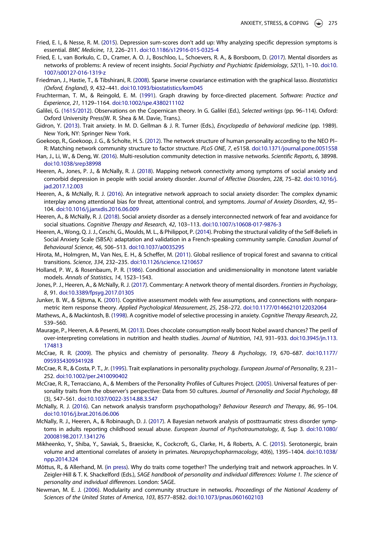- <span id="page-13-0"></span>Fried, E. I., & Nesse, R. M. ([2015](#page-9-0)). Depression sum-scores don't add up: Why analyzing specific depression symptoms is essential. BMC Medicine, 13, 226–211. [doi:10.1186/s12916-015-0325-4](https://doi.org/10.1186/s12916-015-0325-4)
- Fried, E. I., van Borkulo, C. D., Cramer, A. O. J., Boschloo, L., Schoevers, R. A., & Borsboom, D. ([2017\)](#page-2-0). Mental disorders as networks of problems: A review of recent insights. Social Psychiatry and Psychiatric Epidemiology, 52(1), 1–10. [doi:10.](https://doi.org/10.1007/s00127-016-1319-z) [1007/s00127-016-1319-z](https://doi.org/10.1007/s00127-016-1319-z)
- Friedman, J., Hastie, T., & Tibshirani, R. ([2008](#page-3-0)). Sparse inverse covariance estimation with the graphical lasso. Biostatistics (Oxford, England), 9, 432–441. [doi:10.1093/biostatistics/kxm045](https://doi.org/10.1093/biostatistics/kxm045)
- Fruchterman, T. M., & Reingold, E. M. [\(1991\)](#page-3-0). Graph drawing by force-directed placement. Software: Practice and Experience, 21, 1129–1164. [doi:10.1002/spe.4380211102](https://doi.org/10.1002/spe.4380211102)
- Galilei, G. [\(1615/2012\)](#page-10-0). Observations on the Copernican theory. In G. Galilei (Ed.), Selected writings (pp. 96-114). Oxford: Oxford University Press(W. R. Shea & M. Davie, Trans.).
- Gidron, Y. [\(2013\)](#page-8-0). Trait anxiety. In M. D. Gellman & J. R. Turner (Eds.), Encyclopedia of behavioral medicine (pp. 1989). New York, NY: Springer New York.
- Goekoop, R., Goekoop, J. G., & Scholte, H. S. ([2012\)](#page-10-0). The network structure of human personality according to the NEO PI– R: Matching network community structure to factor structure. PLoS ONE, 7, e5158. [doi:10.1371/journal.pone.0051558](https://doi.org/10.1371/journal.pone.0051558)
- Han, J., Li, W., & Deng, W. ([2016](#page-9-0)). Multi-resolution community detection in massive networks. Scientific Reports, 6, 38998. [doi:10.1038/srep38998](https://doi.org/10.1038/srep38998)
- Heeren, A., Jones, P. J., & McNally, R. J. [\(2018](#page-10-0)). Mapping network connectivity among symptoms of social anxiety and comorbid depression in people with social anxiety disorder. Journal of Affective Disorders, 228, 75–82. [doi:10.1016/j.](https://doi.org/10.1016/j.jad.2017.12.003) [jad.2017.12.003](https://doi.org/10.1016/j.jad.2017.12.003)
- Heeren, A., & McNally, R. J. [\(2016\)](#page-4-0). An integrative network approach to social anxiety disorder: The complex dynamic interplay among attentional bias for threat, attentional control, and symptoms. Journal of Anxiety Disorders, 42, 95– 104. [doi:10.1016/j.janxdis.2016.06.009](https://doi.org/10.1016/j.janxdis.2016.06.009)
- Heeren, A., & McNally, R. J. ([2018](#page-4-0)). Social anxiety disorder as a densely interconnected network of fear and avoidance for social situations. Cognitive Therapy and Research, 42, 103–113. [doi:10.1007/s10608-017-9876-3](https://doi.org/10.1007/s10608-017-9876-3)
- Heeren, A., Wong, Q. J. J., Ceschi, G., Moulds, M. L., & Philippot, P. [\(2014](#page-2-0)). Probing the structural validity of the Self-Beliefs in Social Anxiety Scale (SBSA): adaptation and validation in a French-speaking community sample. Canadian Journal of Behavioural Science, 46, 506–513. [doi:10.1037/a0035295](https://doi.org/10.1037/a0035295)
- Hirota, M., Holmgren, M., Van Nes, E. H., & Scheffer, M. ([2011](#page-9-0)). Global resilience of tropical forest and savanna to critical transitions. Science, 334, 232–235. [doi:10.1126/science.1210657](https://doi.org/10.1126/science.1210657)
- Holland, P. W., & Rosenbaum, P. R. ([1986\)](#page-2-0). Conditional association and unidimensionality in monotone latent variable models. Annals of Statistics, 14, 1523–1543.
- Jones, P. J., Heeren, A., & McNally, R. J. [\(2017\)](#page-10-0). Commentary: A network theory of mental disorders. Frontiers in Psychology, 8, 91. [doi:10.3389/fpsyg.2017.01305](https://doi.org/10.3389/fpsyg.2017.01305)
- Junker, B. W., & Sijtsma, K. ([2001\)](#page-2-0). Cognitive assessment models with few assumptions, and connections with nonparametric item response theory. Applied Psychological Measurement, 25, 258–272. [doi:10.1177/01466210122032064](https://doi.org/10.1177/01466210122032064)
- Mathews, A., & Mackintosh, B. [\(1998](#page-8-0)). A cognitive model of selective processing in anxiety. Cognitive Therapy Research, 22, 539–560.
- Maurage, P., Heeren, A. & Pesenti, M. ([2013\)](#page-9-0). Does chocolate consumption really boost Nobel award chances? The peril of over-interpreting correlations in nutrition and health studies. Journal of Nutrition, 143, 931–933. [doi:10.3945/jn.113.](https://doi.org/10.3945/jn.113.174813) [174813](https://doi.org/10.3945/jn.113.174813)
- McCrae, R. R. ([2009\)](#page-7-0). The physics and chemistry of personality. Theory & Psychology, 19, 670–687. [doi:10.1177/](https://doi.org/10.1177/0959354309341928) [0959354309341928](https://doi.org/10.1177/0959354309341928)
- McCrae, R. R., & Costa, P. T., Jr. [\(1995](#page-0-0)). Trait explanations in personality psychology. European Journal of Personality, 9, 231– 252. [doi:10.1002/per.2410090402](https://doi.org/10.1002/per.2410090402)
- McCrae, R. R., Terracciano, A., & Members of the Personality Profiles of Cultures Project. ([2005\)](#page-1-0). Universal features of personality traits from the observer's perspective: Data from 50 cultures. Journal of Personality and Social Psychology, 88 (3), 547–561. [doi:10.1037/0022-3514.88.3.547](https://doi.org/10.1037/0022-3514.88.3.547)
- McNally, R. J. [\(2016\)](#page-7-0). Can network analysis transform psychopathology? Behaviour Research and Therapy, 86, 95–104. [doi:10.1016/j.brat.2016.06.006](https://doi.org/10.1016/j.brat.2016.06.006)
- McNally, R. J., Heeren, A., & Robinaugh, D. J. [\(2017](#page-3-0)). A Bayesian network analysis of posttraumatic stress disorder symptoms in adults reporting childhood sexual abuse. European Journal of Psychotraumatology, 8, Sup 3. [doi:10.1080/](https://doi.org/10.1080/20008198.2017.1341276) [20008198.2017.1341276](https://doi.org/10.1080/20008198.2017.1341276)
- Mikheenko, Y., Shiba, Y., Sawiak, S., Braesicke, K., Cockcroft, G., Clarke, H., & Roberts, A. C. [\(2015](#page-1-0)). Serotonergic, brain volume and attentional correlates of anxiety in primates. Neuropsychopharmacology, 40(6), 1395–1404. [doi:10.1038/](https://doi.org/10.1038/npp.2014.324) [npp.2014.324](https://doi.org/10.1038/npp.2014.324)
- Mõttus, R., & Allerhand, M. ([in press\)](#page-7-0). Why do traits come together? The underlying trait and network approaches. In V. Zeigler-Hill & T. K. Shackelford (Eds.), SAGE handbook of personality and individual differences: Volume 1. The science of personality and individual differences. London: SAGE.
- Newman, M. E. J. ([2006](#page-2-0)). Modularity and community structure in networks. Proceedings of the National Academy of Sciences of the United States of America, 103, 8577–8582. [doi:10.1073/pnas.0601602103](https://doi.org/10.1073/pnas.0601602103)